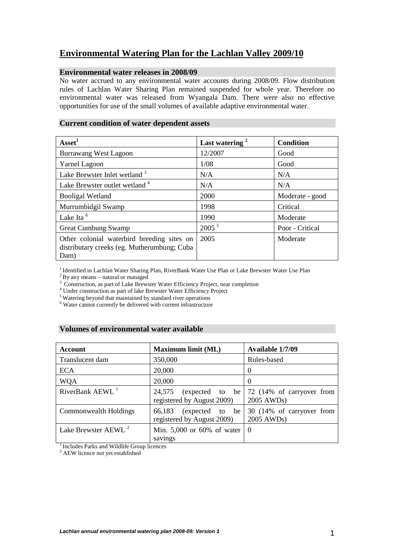# **Environmental Watering Plan for the Lachlan Valley 2009/10**

### **Environmental water releases in 2008/09**

No water accrued to any environmental water accounts during 2008/09. Flow distribution rules of Lachlan Water Sharing Plan remained suspended for whole year. Therefore no environmental water was released from Wyangala Dam. There were also no effective opportunities for use of the small volumes of available adaptive environmental water.

## **Current condition of water dependent assets**

| Asset <sup>1</sup>                                                                                | Last watering <sup>2</sup> | <b>Condition</b> |
|---------------------------------------------------------------------------------------------------|----------------------------|------------------|
| <b>Burrawang West Lagoon</b>                                                                      | 12/2007                    | Good             |
| <b>Yarnel Lagoon</b>                                                                              | 1/08                       | Good             |
| Lake Brewster Inlet wetland <sup>3</sup>                                                          | N/A                        | N/A              |
| Lake Brewster outlet wetland 4                                                                    | N/A                        | N/A              |
| <b>Booligal Wetland</b>                                                                           | 2000                       | Moderate - good  |
| Murrumbidgil Swamp                                                                                | 1998                       | Critical         |
| Lake Ita <sup>6</sup>                                                                             | 1990                       | Moderate         |
| <b>Great Cumbung Swamp</b>                                                                        | $2005^{\frac{5}{}}$        | Poor - Critical  |
| Other colonial waterbird breeding sites on<br>distributary creeks (eg. Mutherumbung; Cuba<br>Dam) | 2005                       | Moderate         |

<sup>1</sup> Identified in Lachlan Water Sharing Plan, RiverBank Water Use Plan or Lake Brewster Water Use Plan

 $2$ By any means – natural or managed

<sup>3</sup> Construction, as part of Lake Brewster Water Efficiency Project, near completion

4 Under construction as part of lake Brewster Water Efficiency Project

<sup>5</sup> Watering beyond that maintained by standard river operations

6 Water cannot currently be delivered with current infrastructure

### **Volumes of environmental water available**

| Account                          | <b>Maximum limit (ML)</b>                               | Available 1/7/09                                     |
|----------------------------------|---------------------------------------------------------|------------------------------------------------------|
| Translucent dam                  | 350,000                                                 | Rules-based                                          |
| <b>ECA</b>                       | 20,000                                                  | $\theta$                                             |
| <b>WQA</b>                       | 20,000                                                  | $\theta$                                             |
| RiverBank $A E W L$ <sup>1</sup> | 24,575<br>(expected to be<br>registered by August 2009) | 72 (14% of carryover from<br>2005 AWD <sub>s</sub> ) |
| Commonwealth Holdings            | (expected to be<br>66,183<br>registered by August 2009) | 30 (14% of carryover from<br>2005 AWDs)              |
| Lake Brewster AEWL <sup>2</sup>  | Min. $5,000$ or 60% of water<br>savings                 | l ()                                                 |

<sup>1</sup> Includes Parks and Wildlife Group licences

<sup>2</sup> AEW licence not yet established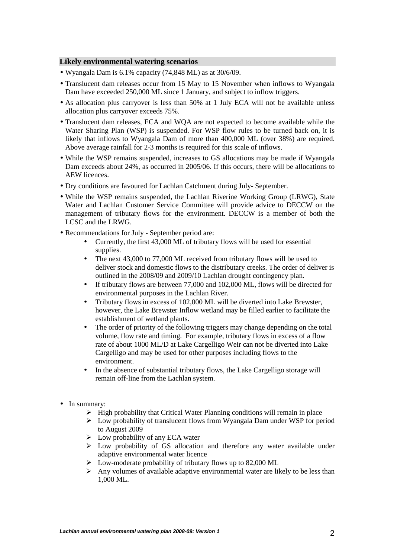### **Likely environmental watering scenarios**

- Wyangala Dam is 6.1% capacity (74,848 ML) as at 30/6/09.
- Translucent dam releases occur from 15 May to 15 November when inflows to Wyangala Dam have exceeded 250,000 ML since 1 January, and subject to inflow triggers.
- As allocation plus carryover is less than 50% at 1 July ECA will not be available unless allocation plus carryover exceeds 75%.
- Translucent dam releases, ECA and WQA are not expected to become available while the Water Sharing Plan (WSP) is suspended. For WSP flow rules to be turned back on, it is likely that inflows to Wyangala Dam of more than 400,000 ML (over 38%) are required. Above average rainfall for 2-3 months is required for this scale of inflows.
- While the WSP remains suspended, increases to GS allocations may be made if Wyangala Dam exceeds about 24%, as occurred in 2005/06. If this occurs, there will be allocations to AEW licences.
- Dry conditions are favoured for Lachlan Catchment during July- September.
- While the WSP remains suspended, the Lachlan Riverine Working Group (LRWG), State Water and Lachlan Customer Service Committee will provide advice to DECCW on the management of tributary flows for the environment. DECCW is a member of both the LCSC and the LRWG.
- Recommendations for July September period are:
	- Currently, the first 43,000 ML of tributary flows will be used for essential supplies.
	- The next 43,000 to 77,000 ML received from tributary flows will be used to deliver stock and domestic flows to the distributary creeks. The order of deliver is outlined in the 2008/09 and 2009/10 Lachlan drought contingency plan.
	- If tributary flows are between 77,000 and 102,000 ML, flows will be directed for environmental purposes in the Lachlan River.
	- Tributary flows in excess of 102,000 ML will be diverted into Lake Brewster, however, the Lake Brewster Inflow wetland may be filled earlier to facilitate the establishment of wetland plants.
	- The order of priority of the following triggers may change depending on the total volume, flow rate and timing. For example, tributary flows in excess of a flow rate of about 1000 ML/D at Lake Cargelligo Weir can not be diverted into Lake Cargelligo and may be used for other purposes including flows to the environment.
	- In the absence of substantial tributary flows, the Lake Cargelligo storage will remain off-line from the Lachlan system.
- In summary:
	- $\triangleright$  High probability that Critical Water Planning conditions will remain in place
	- Low probability of translucent flows from Wyangala Dam under WSP for period to August 2009
	- $\triangleright$  Low probability of any ECA water
	- Low probability of GS allocation and therefore any water available under adaptive environmental water licence
	- $\triangleright$  Low-moderate probability of tributary flows up to 82,000 ML
	- $\triangleright$  Any volumes of available adaptive environmental water are likely to be less than 1,000 ML.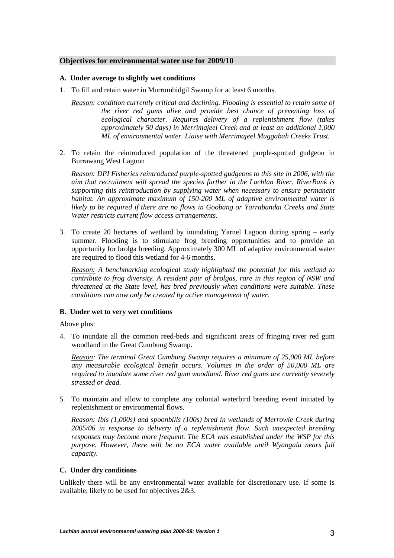### **Objectives for environmental water use for 2009/10**

#### **A. Under average to slightly wet conditions**

- 1. To fill and retain water in Murrumbidgil Swamp for at least 6 months.
	- *Reason: condition currently critical and declining. Flooding is essential to retain some of the river red gums alive and provide best chance of preventing loss of ecological character. Requires delivery of a replenishment flow (takes approximately 50 days) in Merrimajeel Creek and at least an additional 1,000 ML of environmental water. Liaise with Merrimajeel Muggabah Creeks Trust.*
- 2. To retain the reintroduced population of the threatened purple-spotted gudgeon in Burrawang West Lagoon

*Reason: DPI Fisheries reintroduced purple-spotted gudgeons to this site in 2006, with the aim that recruitment will spread the species further in the Lachlan River. RiverBank is supporting this reintroduction by supplying water when necessary to ensure permanent habitat. An approximate maximum of 150-200 ML of adaptive environmental water is likely to be required if there are no flows in Goobang or Yarrabandai Creeks and State Water restricts current flow access arrangements.* 

3. To create 20 hectares of wetland by inundating Yarnel Lagoon during spring – early summer. Flooding is to stimulate frog breeding opportunities and to provide an opportunity for brolga breeding. Approximately 300 ML of adaptive environmental water are required to flood this wetland for 4-6 months.

*Reason: A benchmarking ecological study highlighted the potential for this wetland to contribute to frog diversity. A resident pair of brolgas, rare in this region of NSW and threatened at the State level, has bred previously when conditions were suitable. These conditions can now only be created by active management of water.* 

### **B. Under wet to very wet conditions**

Above plus:

4. To inundate all the common reed-beds and significant areas of fringing river red gum woodland in the Great Cumbung Swamp.

*Reason: The terminal Great Cumbung Swamp requires a minimum of 25,000 ML before any measurable ecological benefit occurs. Volumes in the order of 50,000 ML are required to inundate some river red gum woodland. River red gums are currently severely stressed or dead.* 

5. To maintain and allow to complete any colonial waterbird breeding event initiated by replenishment or environmental flows.

*Reason: Ibis (1,000s) and spoonbills (100s) bred in wetlands of Merrowie Creek during 2005/06 in response to delivery of a replenishment flow. Such unexpected breeding responses may become more frequent. The ECA was established under the WSP for this purpose. However, there will be no ECA water available until Wyangala nears full capacity.* 

### **C. Under dry conditions**

Unlikely there will be any environmental water available for discretionary use. If some is available, likely to be used for objectives 2&3.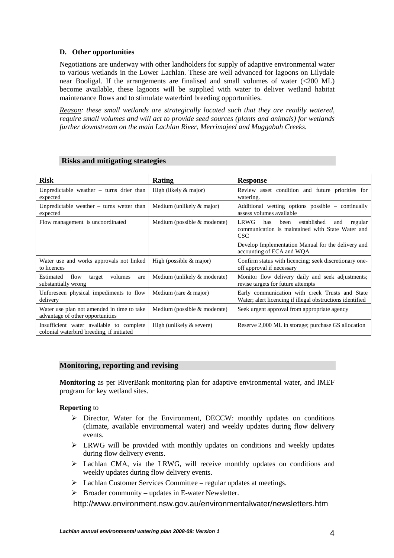### **D. Other opportunities**

Negotiations are underway with other landholders for supply of adaptive environmental water to various wetlands in the Lower Lachlan. These are well advanced for lagoons on Lilydale near Booligal. If the arrangements are finalised and small volumes of water (<200 ML) become available, these lagoons will be supplied with water to deliver wetland habitat maintenance flows and to stimulate waterbird breeding opportunities.

*Reason: these small wetlands are strategically located such that they are readily watered, require small volumes and will act to provide seed sources (plants and animals) for wetlands further downstream on the main Lachlan River, Merrimajeel and Muggabah Creeks.* 

| <b>Risk</b>                                                                           | Rating                         | <b>Response</b>                                                                                                        |
|---------------------------------------------------------------------------------------|--------------------------------|------------------------------------------------------------------------------------------------------------------------|
| Unpredictable weather $-$ turns drier than<br>expected                                | High (likely & major)          | Review asset condition and future priorities for<br>watering.                                                          |
| Unpredictable weather $-$ turns wetter than<br>expected                               | Medium (unlikely & major)      | Additional wetting options possible – continually<br>assess volumes available                                          |
| Flow management is uncoordinated                                                      | Medium (possible & moderate)   | LRWG<br>established<br>has<br>been<br>regular<br>and<br>communication is maintained with State Water and<br><b>CSC</b> |
|                                                                                       |                                | Develop Implementation Manual for the delivery and<br>accounting of ECA and WQA                                        |
| Water use and works approvals not linked<br>to licences                               | High (possible $&$ major)      | Confirm status with licencing; seek discretionary one-<br>off approval if necessary                                    |
| Estimated<br>flow<br>volumes<br>target<br>are<br>substantially wrong                  | Medium (unlikely & moderate)   | Monitor flow delivery daily and seek adjustments;<br>revise targets for future attempts                                |
| Unforeseen physical impediments to flow<br>delivery                                   | Medium (rare & major)          | Early communication with creek Trusts and State<br>Water; alert licencing if illegal obstructions identified           |
| Water use plan not amended in time to take<br>advantage of other opportunities        | Medium (possible $&$ moderate) | Seek urgent approval from appropriate agency                                                                           |
| Insufficient water available to complete<br>colonial waterbird breeding, if initiated | High (unlikely $&$ severe)     | Reserve 2,000 ML in storage; purchase GS allocation                                                                    |

### **Risks and mitigating strategies**

### **Monitoring, reporting and revising**

**Monitoring** as per RiverBank monitoring plan for adaptive environmental water, and IMEF program for key wetland sites.

### **Reporting** to

- $\triangleright$  Director, Water for the Environment, DECCW: monthly updates on conditions (climate, available environmental water) and weekly updates during flow delivery events.
- LRWG will be provided with monthly updates on conditions and weekly updates during flow delivery events.
- Lachlan CMA, via the LRWG, will receive monthly updates on conditions and weekly updates during flow delivery events.
- $\triangleright$  Lachlan Customer Services Committee regular updates at meetings.
- $\triangleright$  Broader community updates in E-water Newsletter.

http://www.environment.nsw.gov.au/environmentalwater/newsletters.htm